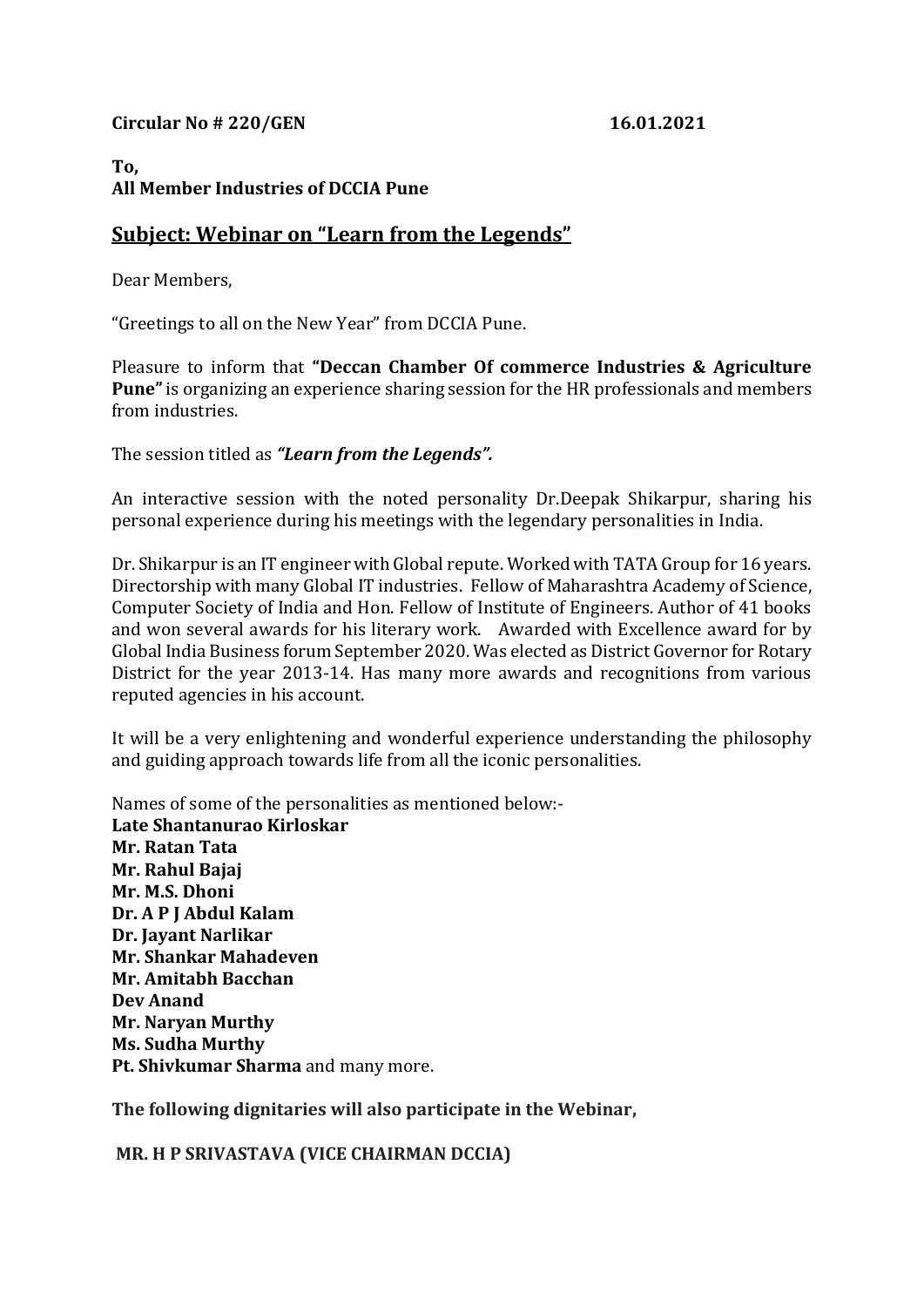## **Circular No # 220/GEN 16.01.2021**

# **To, All Member Industries of DCCIA Pune**

# **Subject: Webinar on "Learn from the Legends"**

Dear Members,

"Greetings to all on the New Year" from DCCIA Pune.

Pleasure to inform that **"Deccan Chamber Of commerce Industries & Agriculture Pune"**is organizing an experience sharing session for the HR professionals and members from industries.

The session titled as *"Learn from the Legends".*

An interactive session with the noted personality Dr.Deepak Shikarpur, sharing his personal experience during his meetings with the legendary personalities in India.

Dr. Shikarpur is an IT engineer with Global repute. Worked with TATA Group for 16 years. Directorship with many Global IT industries. Fellow of Maharashtra Academy of Science, Computer Society of India and Hon. Fellow of Institute of Engineers. Author of 41 books and won several awards for his literary work. Awarded with Excellence award for by Global India Business forum September 2020. Was elected as District Governor for Rotary District for the year 2013-14. Has many more awards and recognitions from various reputed agencies in his account.

It will be a very enlightening and wonderful experience understanding the philosophy and guiding approach towards life from all the iconic personalities.

Names of some of the personalities as mentioned below:- **Late Shantanurao Kirloskar Mr. Ratan Tata Mr. Rahul Bajaj Mr. M.S. Dhoni Dr. A P J Abdul Kalam Dr. Jayant Narlikar Mr. Shankar Mahadeven Mr. Amitabh Bacchan Dev Anand Mr. Naryan Murthy Ms. Sudha Murthy Pt. Shivkumar Sharma** and many more.

**The following dignitaries will also participate in the Webinar,**

**MR. H P SRIVASTAVA (VICE CHAIRMAN DCCIA)**